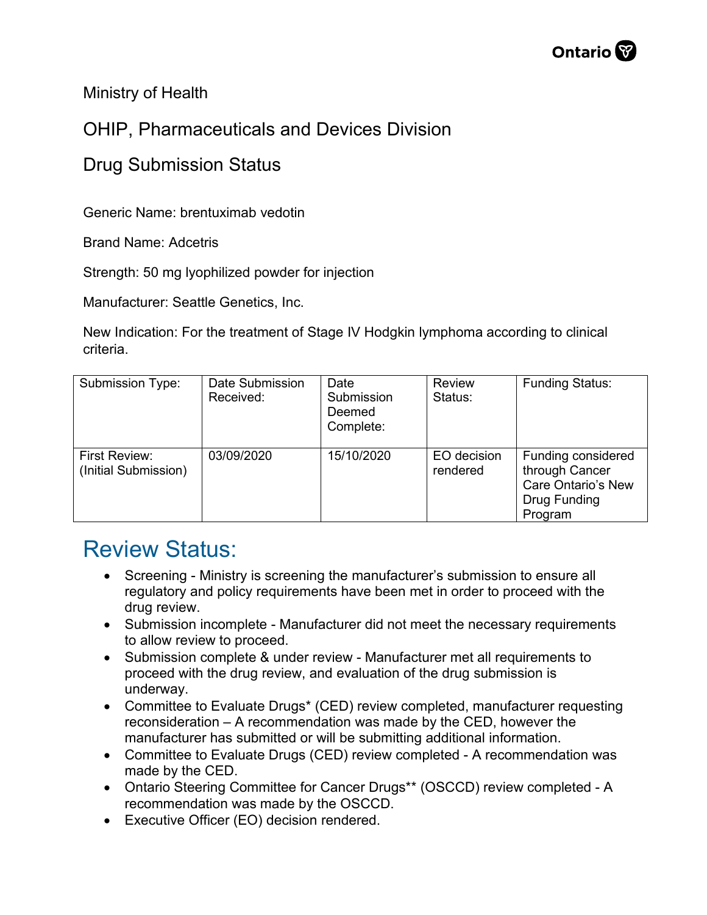Ministry of Health

## OHIP, Pharmaceuticals and Devices Division

## Drug Submission Status

Generic Name: brentuximab vedotin

Brand Name: Adcetris

Strength: 50 mg lyophilized powder for injection

Manufacturer: Seattle Genetics, Inc.

New Indication: For the treatment of Stage IV Hodgkin lymphoma according to clinical criteria.

| <b>Submission Type:</b>               | Date Submission<br>Received: | Date<br>Submission<br>Deemed<br>Complete: | Review<br>Status:       | <b>Funding Status:</b>                                                                |
|---------------------------------------|------------------------------|-------------------------------------------|-------------------------|---------------------------------------------------------------------------------------|
| First Review:<br>(Initial Submission) | 03/09/2020                   | 15/10/2020                                | EO decision<br>rendered | Funding considered<br>through Cancer<br>Care Ontario's New<br>Drug Funding<br>Program |

## Review Status:

- Screening Ministry is screening the manufacturer's submission to ensure all regulatory and policy requirements have been met in order to proceed with the drug review.
- Submission incomplete Manufacturer did not meet the necessary requirements to allow review to proceed.
- Submission complete & under review Manufacturer met all requirements to proceed with the drug review, and evaluation of the drug submission is underway.
- Committee to Evaluate Drugs\* (CED) review completed, manufacturer requesting reconsideration – A recommendation was made by the CED, however the manufacturer has submitted or will be submitting additional information.
- Committee to Evaluate Drugs (CED) review completed A recommendation was made by the CED.
- Ontario Steering Committee for Cancer Drugs\*\* (OSCCD) review completed A recommendation was made by the OSCCD.
- Executive Officer (EO) decision rendered.